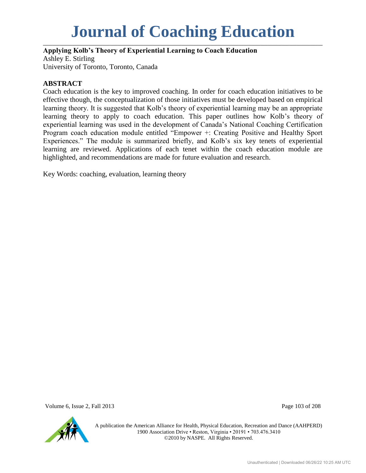**\_\_\_\_\_\_\_\_\_\_\_\_\_\_\_\_\_\_\_\_\_\_\_\_\_\_\_\_\_\_\_\_\_\_\_\_\_\_\_\_\_\_\_\_\_\_\_\_\_\_\_\_\_\_\_\_\_\_\_\_\_\_\_\_\_\_\_\_\_\_\_\_\_\_\_\_\_\_\_\_\_\_\_\_\_\_\_\_\_\_\_\_\_\_\_\_\_\_\_\_\_\_\_\_\_\_\_\_\_\_\_\_\_\_\_\_\_**

### **Applying Kolb's Theory of Experiential Learning to Coach Education**

Ashley E. Stirling University of Toronto, Toronto, Canada

#### **ABSTRACT**

Coach education is the key to improved coaching. In order for coach education initiatives to be effective though, the conceptualization of those initiatives must be developed based on empirical learning theory. It is suggested that Kolb's theory of experiential learning may be an appropriate learning theory to apply to coach education. This paper outlines how Kolb's theory of experiential learning was used in the development of Canada's National Coaching Certification Program coach education module entitled "Empower +: Creating Positive and Healthy Sport Experiences." The module is summarized briefly, and Kolb's six key tenets of experiential learning are reviewed. Applications of each tenet within the coach education module are highlighted, and recommendations are made for future evaluation and research.

Key Words: coaching, evaluation, learning theory

Volume 6, Issue 2, Fall 2013 Page 103 of 208

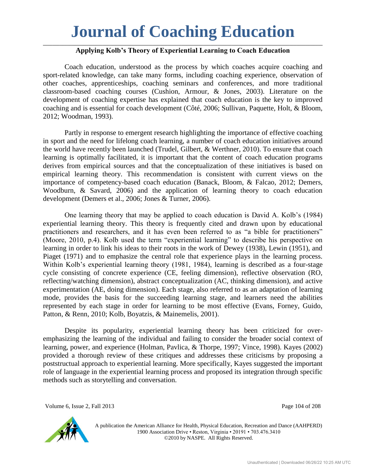#### **\_\_\_\_\_\_\_\_\_\_\_\_\_\_\_\_\_\_\_\_\_\_\_\_\_\_\_\_\_\_\_\_\_\_\_\_\_\_\_\_\_\_\_\_\_\_\_\_\_\_\_\_\_\_\_\_\_\_\_\_\_\_\_\_\_\_\_\_\_\_\_\_\_\_\_\_\_\_\_\_\_\_\_\_\_\_\_\_\_\_\_\_\_\_\_\_\_\_\_\_\_\_\_\_\_\_\_\_\_\_\_\_\_\_\_\_\_ Applying Kolb's Theory of Experiential Learning to Coach Education**

Coach education, understood as the process by which coaches acquire coaching and sport-related knowledge, can take many forms, including coaching experience, observation of other coaches, apprenticeships, coaching seminars and conferences, and more traditional classroom-based coaching courses (Cushion, Armour, & Jones, 2003). Literature on the development of coaching expertise has explained that coach education is the key to improved coaching and is essential for coach development (Côté, 2006; Sullivan, Paquette, Holt, & Bloom, 2012; Woodman, 1993).

Partly in response to emergent research highlighting the importance of effective coaching in sport and the need for lifelong coach learning, a number of coach education initiatives around the world have recently been launched (Trudel, Gilbert, & Werthner, 2010). To ensure that coach learning is optimally facilitated, it is important that the content of coach education programs derives from empirical sources and that the conceptualization of these initiatives is based on empirical learning theory. This recommendation is consistent with current views on the importance of competency-based coach education (Banack, Bloom, & Falcao, 2012; Demers, Woodburn, & Savard, 2006) and the application of learning theory to coach education development (Demers et al., 2006; Jones & Turner, 2006).

One learning theory that may be applied to coach education is David A. Kolb's (1984) experiential learning theory. This theory is frequently cited and drawn upon by educational practitioners and researchers, and it has even been referred to as "a bible for practitioners" (Moore, 2010, p.4). Kolb used the term "experiential learning" to describe his perspective on learning in order to link his ideas to their roots in the work of Dewey (1938), Lewin (1951), and Piaget (1971) and to emphasize the central role that experience plays in the learning process. Within Kolb's experiential learning theory (1981, 1984), learning is described as a four-stage cycle consisting of concrete experience (CE, feeling dimension), reflective observation (RO, reflecting/watching dimension), abstract conceptualization (AC, thinking dimension), and active experimentation (AE, doing dimension). Each stage, also referred to as an adaptation of learning mode, provides the basis for the succeeding learning stage, and learners need the abilities represented by each stage in order for learning to be most effective (Evans, Forney, Guido, Patton, & Renn, 2010; Kolb, Boyatzis, & Mainemelis, 2001).

Despite its popularity, experiential learning theory has been criticized for overemphasizing the learning of the individual and failing to consider the broader social context of learning, power, and experience (Holman, Pavlica, & Thorpe, 1997; Vince, 1998). Kayes (2002) provided a thorough review of these critiques and addresses these criticisms by proposing a poststructual approach to experiential learning. More specifically, Kayes suggested the important role of language in the experiential learning process and proposed its integration through specific methods such as storytelling and conversation.

Volume 6, Issue 2, Fall 2013 Page 104 of 208

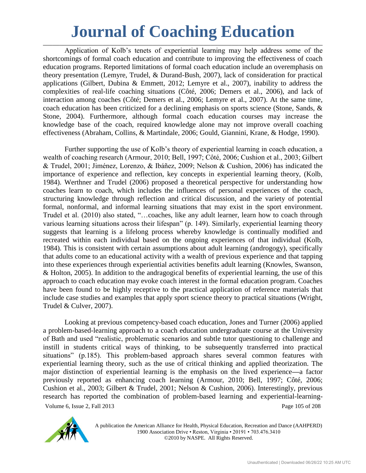**\_\_\_\_\_\_\_\_\_\_\_\_\_\_\_\_\_\_\_\_\_\_\_\_\_\_\_\_\_\_\_\_\_\_\_\_\_\_\_\_\_\_\_\_\_\_\_\_\_\_\_\_\_\_\_\_\_\_\_\_\_\_\_\_\_\_\_\_\_\_\_\_\_\_\_\_\_\_\_\_\_\_\_\_\_\_\_\_\_\_\_\_\_\_\_\_\_\_\_\_\_\_\_\_\_\_\_\_\_\_\_\_\_\_\_\_\_**

Application of Kolb's tenets of experiential learning may help address some of the shortcomings of formal coach education and contribute to improving the effectiveness of coach education programs. Reported limitations of formal coach education include an overemphasis on theory presentation (Lemyre, Trudel, & Durand-Bush, 2007), lack of consideration for practical applications (Gilbert, Dubina & Emmett, 2012; Lemyre et al., 2007), inability to address the complexities of real-life coaching situations (Côté, 2006; Demers et al., 2006), and lack of interaction among coaches (Côté; Demers et al., 2006; Lemyre et al., 2007). At the same time, coach education has been criticized for a declining emphasis on sports science (Stone, Sands, & Stone, 2004). Furthermore, although formal coach education courses may increase the knowledge base of the coach, required knowledge alone may not improve overall coaching effectiveness (Abraham, Collins, & Martindale, 2006; Gould, Giannini, Krane, & Hodge, 1990).

Further supporting the use of Kolb's theory of experiential learning in coach education, a wealth of coaching research (Armour, 2010; Bell, 1997; Côté, 2006; Cushion et al., 2003; Gilbert & Trudel, 2001; Jiménez, Lorenzo, & Ibáñez, 2009; Nelson & Cushion, 2006) has indicated the importance of experience and reflection, key concepts in experiential learning theory, (Kolb, 1984). Werthner and Trudel (2006) proposed a theoretical perspective for understanding how coaches learn to coach, which includes the influences of personal experiences of the coach, structuring knowledge through reflection and critical discussion, and the variety of potential formal, nonformal, and informal learning situations that may exist in the sport environment. Trudel et al. (2010) also stated, "...coaches, like any adult learner, learn how to coach through various learning situations across their lifespan" (p. 149). Similarly, experiential learning theory suggests that learning is a lifelong process whereby knowledge is continually modified and recreated within each individual based on the ongoing experiences of that individual (Kolb, 1984). This is consistent with certain assumptions about adult learning (androgogy), specifically that adults come to an educational activity with a wealth of previous experience and that tapping into these experiences through experiential activities benefits adult learning (Knowles, Swanson, & Holton, 2005). In addition to the andragogical benefits of experiential learning, the use of this approach to coach education may evoke coach interest in the formal education program. Coaches have been found to be highly receptive to the practical application of reference materials that include case studies and examples that apply sport science theory to practical situations (Wright, Trudel & Culver, 2007).

Volume 6, Issue 2, Fall 2013 Page 105 of 208 Looking at previous competency-based coach education, Jones and Turner (2006) applied a problem-based-learning approach to a coach education undergraduate course at the University of Bath and used "realistic, problematic scenarios and subtle tutor questioning to challenge and instill in students critical ways of thinking, to be subsequently transferred into practical situations" (p.185). This problem-based approach shares several common features with experiential learning theory, such as the use of critical thinking and applied theorization. The major distinction of experiential learning is the emphasis on the lived experience**—**a factor previously reported as enhancing coach learning (Armour, 2010; Bell, 1997; Côté, 2006; Cushion et al., 2003; Gilbert & Trudel, 2001; Nelson & Cushion, 2006). Interestingly, previous research has reported the combination of problem-based learning and experiential-learning-

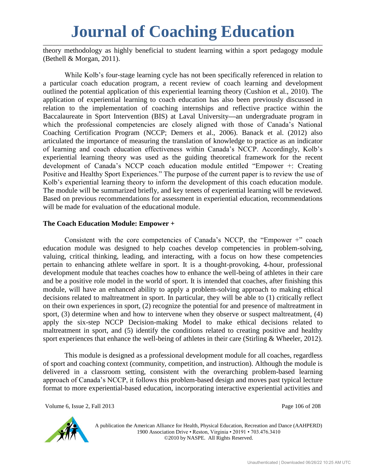**\_\_\_\_\_\_\_\_\_\_\_\_\_\_\_\_\_\_\_\_\_\_\_\_\_\_\_\_\_\_\_\_\_\_\_\_\_\_\_\_\_\_\_\_\_\_\_\_\_\_\_\_\_\_\_\_\_\_\_\_\_\_\_\_\_\_\_\_\_\_\_\_\_\_\_\_\_\_\_\_\_\_\_\_\_\_\_\_\_\_\_\_\_\_\_\_\_\_\_\_\_\_\_\_\_\_\_\_\_\_\_\_\_\_\_\_\_** theory methodology as highly beneficial to student learning within a sport pedagogy module (Bethell & Morgan, 2011).

While Kolb's four-stage learning cycle has not been specifically referenced in relation to a particular coach education program, a recent review of coach learning and development outlined the potential application of this experiential learning theory (Cushion et al., 2010). The application of experiential learning to coach education has also been previously discussed in relation to the implementation of coaching internships and reflective practice within the Baccalaureate in Sport Intervention (BIS) at Laval University**—**an undergraduate program in which the professional competencies are closely aligned with those of Canada's National Coaching Certification Program (NCCP; Demers et al., 2006). Banack et al. (2012) also articulated the importance of measuring the translation of knowledge to practice as an indicator of learning and coach education effectiveness within Canada's NCCP. Accordingly, Kolb's experiential learning theory was used as the guiding theoretical framework for the recent development of Canada's NCCP coach education module entitled "Empower +: Creating Positive and Healthy Sport Experiences." The purpose of the current paper is to review the use of Kolb's experiential learning theory to inform the development of this coach education module. The module will be summarized briefly, and key tenets of experiential learning will be reviewed. Based on previous recommendations for assessment in experiential education, recommendations will be made for evaluation of the educational module.

#### **The Coach Education Module: Empower +**

Consistent with the core competencies of Canada's NCCP, the "Empower +" coach education module was designed to help coaches develop competencies in problem-solving, valuing, critical thinking, leading, and interacting, with a focus on how these competencies pertain to enhancing athlete welfare in sport. It is a thought-provoking, 4-hour, professional development module that teaches coaches how to enhance the well-being of athletes in their care and be a positive role model in the world of sport. It is intended that coaches, after finishing this module, will have an enhanced ability to apply a problem-solving approach to making ethical decisions related to maltreatment in sport. In particular, they will be able to (1) critically reflect on their own experiences in sport, (2) recognize the potential for and presence of maltreatment in sport, (3) determine when and how to intervene when they observe or suspect maltreatment, (4) apply the six-step NCCP Decision-making Model to make ethical decisions related to maltreatment in sport, and (5) identify the conditions related to creating positive and healthy sport experiences that enhance the well-being of athletes in their care (Stirling & Wheeler, 2012).

This module is designed as a professional development module for all coaches, regardless of sport and coaching context (community, competition, and instruction). Although the module is delivered in a classroom setting, consistent with the overarching problem-based learning approach of Canada's NCCP, it follows this problem-based design and moves past typical lecture format to more experiential-based education, incorporating interactive experiential activities and

Volume 6, Issue 2, Fall 2013 Page 106 of 208



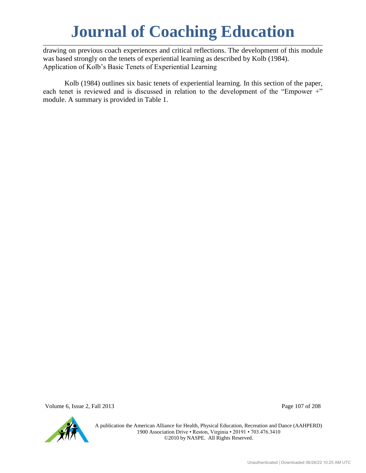**\_\_\_\_\_\_\_\_\_\_\_\_\_\_\_\_\_\_\_\_\_\_\_\_\_\_\_\_\_\_\_\_\_\_\_\_\_\_\_\_\_\_\_\_\_\_\_\_\_\_\_\_\_\_\_\_\_\_\_\_\_\_\_\_\_\_\_\_\_\_\_\_\_\_\_\_\_\_\_\_\_\_\_\_\_\_\_\_\_\_\_\_\_\_\_\_\_\_\_\_\_\_\_\_\_\_\_\_\_\_\_\_\_\_\_\_\_**

drawing on previous coach experiences and critical reflections. The development of this module was based strongly on the tenets of experiential learning as described by Kolb (1984). Application of Kolb's Basic Tenets of Experiential Learning

Kolb (1984) outlines six basic tenets of experiential learning. In this section of the paper, each tenet is reviewed and is discussed in relation to the development of the "Empower +" module. A summary is provided in Table 1.

Volume 6, Issue 2, Fall 2013 Page 107 of 208

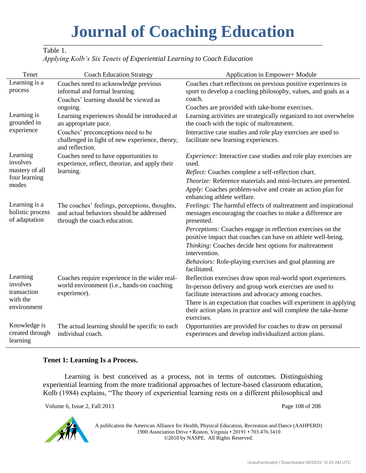**\_\_\_\_\_\_\_\_\_\_\_\_\_\_\_\_\_\_\_\_\_\_\_\_\_\_\_\_\_\_\_\_\_\_\_\_\_\_\_\_\_\_\_\_\_\_\_\_\_\_\_\_\_\_\_\_\_\_\_\_\_\_\_\_\_\_\_\_\_\_\_\_\_\_\_\_\_\_\_\_\_\_\_\_\_\_\_\_\_\_\_\_\_\_\_\_\_\_\_\_\_\_\_\_\_\_\_\_\_\_\_\_\_\_\_\_\_**

Table 1.

*Applying Kolb's Six Tenets of Experiential Learning to Coach Education*

| Tenet                                                            | <b>Coach Education Strategy</b>                                                                                           | Application in Empower+ Module                                                                                                                   |
|------------------------------------------------------------------|---------------------------------------------------------------------------------------------------------------------------|--------------------------------------------------------------------------------------------------------------------------------------------------|
| Learning is a<br>process                                         | Coaches need to acknowledge previous<br>informal and formal learning.<br>Coaches' learning should be viewed as            | Coaches chart reflections on previous positive experiences in<br>sport to develop a coaching philosophy, values, and goals as a<br>coach.        |
|                                                                  | ongoing.                                                                                                                  | Coaches are provided with take-home exercises.                                                                                                   |
| Learning is<br>grounded in<br>experience                         | Learning experiences should be introduced at<br>an appropriate pace.                                                      | Learning activities are strategically organized to not overwhelm<br>the coach with the topic of maltreatment.                                    |
|                                                                  | Coaches' preconceptions need to be<br>challenged in light of new experience, theory,<br>and reflection.                   | Interactive case studies and role play exercises are used to<br>facilitate new learning experiences.                                             |
| Learning<br>involves<br>mastery of all<br>four learning<br>modes | Coaches need to have opportunities to<br>experience, reflect, theorize, and apply their<br>learning.                      | <i>Experience:</i> Interactive case studies and role play exercises are<br>used.                                                                 |
|                                                                  |                                                                                                                           | Reflect: Coaches complete a self-reflection chart.                                                                                               |
|                                                                  |                                                                                                                           | Theorize: Reference materials and mini-lectures are presented.                                                                                   |
|                                                                  |                                                                                                                           | Apply: Coaches problem-solve and create an action plan for<br>enhancing athlete welfare.                                                         |
| Learning is a<br>holistic process<br>of adaptation               | The coaches' feelings, perceptions, thoughts,<br>and actual behaviors should be addressed<br>through the coach education. | Feelings: The harmful effects of maltreatment and inspirational<br>messages encouraging the coaches to make a difference are<br>presented.       |
|                                                                  |                                                                                                                           | Perceptions: Coaches engage in reflection exercises on the<br>positive impact that coaches can have on athlete well-being.                       |
|                                                                  |                                                                                                                           | Thinking: Coaches decide best options for maltreatment<br>intervention.                                                                          |
|                                                                  |                                                                                                                           | Behaviors: Role-playing exercises and goal planning are<br>facilitated.                                                                          |
| Learning                                                         | Coaches require experience in the wider real-                                                                             | Reflection exercises draw upon real-world sport experiences.                                                                                     |
| involves<br>transaction<br>with the<br>environment               | world environment (i.e., hands-on coaching<br>experience).                                                                | In-person delivery and group work exercises are used to<br>facilitate interactions and advocacy among coaches.                                   |
|                                                                  |                                                                                                                           | There is an expectation that coaches will experiment in applying<br>their action plans in practice and will complete the take-home<br>exercises. |
| Knowledge is<br>created through<br>learning                      | The actual learning should be specific to each<br>individual coach.                                                       | Opportunities are provided for coaches to draw on personal<br>experiences and develop individualized action plans.                               |

#### **Tenet 1: Learning Is a Process.**

Learning is best conceived as a process, not in terms of outcomes. Distinguishing experiential learning from the more traditional approaches of lecture-based classroom education, Kolb (1984) explains, "The theory of experiential learning rests on a different philosophical and

Volume 6, Issue 2, Fall 2013 Page 108 of 208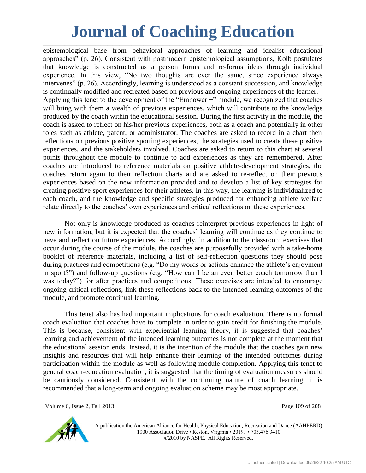**\_\_\_\_\_\_\_\_\_\_\_\_\_\_\_\_\_\_\_\_\_\_\_\_\_\_\_\_\_\_\_\_\_\_\_\_\_\_\_\_\_\_\_\_\_\_\_\_\_\_\_\_\_\_\_\_\_\_\_\_\_\_\_\_\_\_\_\_\_\_\_\_\_\_\_\_\_\_\_\_\_\_\_\_\_\_\_\_\_\_\_\_\_\_\_\_\_\_\_\_\_\_\_\_\_\_\_\_\_\_\_\_\_\_\_\_\_**

epistemological base from behavioral approaches of learning and idealist educational approaches" (p. 26). Consistent with postmodern epistemological assumptions, Kolb postulates that knowledge is constructed as a person forms and re-forms ideas through individual experience. In this view, "No two thoughts are ever the same, since experience always intervenes" (p. 26). Accordingly, learning is understood as a constant succession, and knowledge is continually modified and recreated based on previous and ongoing experiences of the learner. Applying this tenet to the development of the "Empower +" module, we recognized that coaches will bring with them a wealth of previous experiences, which will contribute to the knowledge produced by the coach within the educational session. During the first activity in the module, the coach is asked to reflect on his/her previous experiences, both as a coach and potentially in other roles such as athlete, parent, or administrator. The coaches are asked to record in a chart their reflections on previous positive sporting experiences, the strategies used to create these positive experiences, and the stakeholders involved. Coaches are asked to return to this chart at several points throughout the module to continue to add experiences as they are remembered. After coaches are introduced to reference materials on positive athlete-development strategies, the coaches return again to their reflection charts and are asked to re-reflect on their previous experiences based on the new information provided and to develop a list of key strategies for creating positive sport experiences for their athletes. In this way, the learning is individualized to each coach, and the knowledge and specific strategies produced for enhancing athlete welfare relate directly to the coaches' own experiences and critical reflections on these experiences.

Not only is knowledge produced as coaches reinterpret previous experiences in light of new information, but it is expected that the coaches' learning will continue as they continue to have and reflect on future experiences. Accordingly, in addition to the classroom exercises that occur during the course of the module, the coaches are purposefully provided with a take-home booklet of reference materials, including a list of self-reflection questions they should pose during practices and competitions (e.g. "Do my words or actions enhance the athlete's enjoyment in sport?") and follow-up questions (e.g. "How can I be an even better coach tomorrow than I was today?") for after practices and competitions. These exercises are intended to encourage ongoing critical reflections, link these reflections back to the intended learning outcomes of the module, and promote continual learning.

This tenet also has had important implications for coach evaluation. There is no formal coach evaluation that coaches have to complete in order to gain credit for finishing the module. This is because, consistent with experiential learning theory, it is suggested that coaches' learning and achievement of the intended learning outcomes is not complete at the moment that the educational session ends. Instead, it is the intention of the module that the coaches gain new insights and resources that will help enhance their learning of the intended outcomes during participation within the module as well as following module completion. Applying this tenet to general coach-education evaluation, it is suggested that the timing of evaluation measures should be cautiously considered. Consistent with the continuing nature of coach learning, it is recommended that a long-term and ongoing evaluation scheme may be most appropriate.

Volume 6, Issue 2, Fall 2013 Page 109 of 208

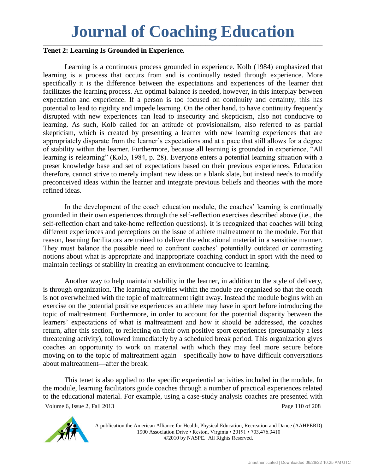### **Tenet 2: Learning Is Grounded in Experience.**

Learning is a continuous process grounded in experience. Kolb (1984) emphasized that learning is a process that occurs from and is continually tested through experience. More specifically it is the difference between the expectations and experiences of the learner that facilitates the learning process. An optimal balance is needed, however, in this interplay between expectation and experience. If a person is too focused on continuity and certainty, this has potential to lead to rigidity and impede learning. On the other hand, to have continuity frequently disrupted with new experiences can lead to insecurity and skepticism, also not conducive to learning. As such, Kolb called for an attitude of provisionalism, also referred to as partial skepticism, which is created by presenting a learner with new learning experiences that are appropriately disparate from the learner's expectations and at a pace that still allows for a degree of stability within the learner. Furthermore, because all learning is grounded in experience, "All learning is relearning" (Kolb, 1984, p. 28). Everyone enters a potential learning situation with a preset knowledge base and set of expectations based on their previous experiences. Education therefore, cannot strive to merely implant new ideas on a blank slate, but instead needs to modify preconceived ideas within the learner and integrate previous beliefs and theories with the more refined ideas.

In the development of the coach education module, the coaches' learning is continually grounded in their own experiences through the self-reflection exercises described above (i.e., the self-reflection chart and take-home reflection questions). It is recognized that coaches will bring different experiences and perceptions on the issue of athlete maltreatment to the module. For that reason, learning facilitators are trained to deliver the educational material in a sensitive manner. They must balance the possible need to confront coaches' potentially outdated or contrasting notions about what is appropriate and inappropriate coaching conduct in sport with the need to maintain feelings of stability in creating an environment conducive to learning.

Another way to help maintain stability in the learner, in addition to the style of delivery, is through organization. The learning activities within the module are organized so that the coach is not overwhelmed with the topic of maltreatment right away. Instead the module begins with an exercise on the potential positive experiences an athlete may have in sport before introducing the topic of maltreatment. Furthermore, in order to account for the potential disparity between the learners' expectations of what is maltreatment and how it should be addressed, the coaches return, after this section, to reflecting on their own positive sport experiences (presumably a less threatening activity), followed immediately by a scheduled break period. This organization gives coaches an opportunity to work on material with which they may feel more secure before moving on to the topic of maltreatment again**—**specifically how to have difficult conversations about maltreatment**—**after the break.

Volume 6, Issue 2, Fall 2013 Page 110 of 208 This tenet is also applied to the specific experiential activities included in the module. In the module, learning facilitators guide coaches through a number of practical experiences related to the educational material. For example, using a case-study analysis coaches are presented with

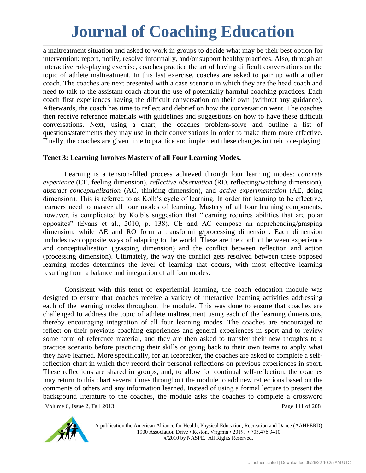a maltreatment situation and asked to work in groups to decide what may be their best option for intervention: report, notify, resolve informally, and/or support healthy practices. Also, through an interactive role-playing exercise, coaches practice the art of having difficult conversations on the topic of athlete maltreatment. In this last exercise, coaches are asked to pair up with another coach. The coaches are next presented with a case scenario in which they are the head coach and need to talk to the assistant coach about the use of potentially harmful coaching practices. Each coach first experiences having the difficult conversation on their own (without any guidance). Afterwards, the coach has time to reflect and debrief on how the conversation went. The coaches then receive reference materials with guidelines and suggestions on how to have these difficult conversations. Next, using a chart, the coaches problem-solve and outline a list of questions/statements they may use in their conversations in order to make them more effective. Finally, the coaches are given time to practice and implement these changes in their role-playing.

#### **Tenet 3: Learning Involves Mastery of all Four Learning Modes.**

Learning is a tension-filled process achieved through four learning modes: *concrete experience* (CE, feeling dimension), *reflective observation* (RO, reflecting/watching dimension), *abstract conceptualization* (AC, thinking dimension), and *active experimentation* (AE, doing dimension). This is referred to as Kolb's cycle of learning. In order for learning to be effective, learners need to master all four modes of learning. Mastery of all four learning components, however, is complicated by Kolb's suggestion that "learning requires abilities that are polar opposites" (Evans et al., 2010, p. 138). CE and AC compose an apprehending/grasping dimension, while AE and RO form a transforming/processing dimension. Each dimension includes two opposite ways of adapting to the world. These are the conflict between experience and conceptualization (grasping dimension) and the conflict between reflection and action (processing dimension). Ultimately, the way the conflict gets resolved between these opposed learning modes determines the level of learning that occurs, with most effective learning resulting from a balance and integration of all four modes.

Volume 6, Issue 2, Fall 2013 Page 111 of 208 Consistent with this tenet of experiential learning, the coach education module was designed to ensure that coaches receive a variety of interactive learning activities addressing each of the learning modes throughout the module. This was done to ensure that coaches are challenged to address the topic of athlete maltreatment using each of the learning dimensions, thereby encouraging integration of all four learning modes. The coaches are encouraged to reflect on their previous coaching experiences and general experiences in sport and to review some form of reference material, and they are then asked to transfer their new thoughts to a practice scenario before practicing their skills or going back to their own teams to apply what they have learned. More specifically, for an icebreaker, the coaches are asked to complete a selfreflection chart in which they record their personal reflections on previous experiences in sport. These reflections are shared in groups, and, to allow for continual self-reflection, the coaches may return to this chart several times throughout the module to add new reflections based on the comments of others and any information learned. Instead of using a formal lecture to present the background literature to the coaches, the module asks the coaches to complete a crossword

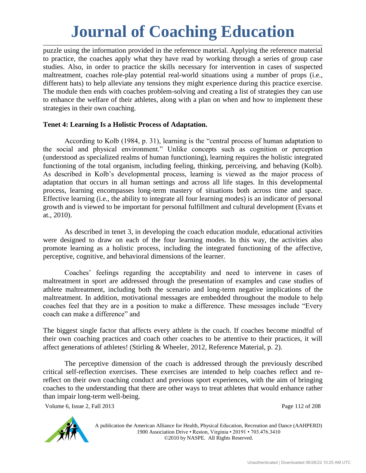puzzle using the information provided in the reference material. Applying the reference material to practice, the coaches apply what they have read by working through a series of group case studies. Also, in order to practice the skills necessary for intervention in cases of suspected maltreatment, coaches role-play potential real-world situations using a number of props (i.e., different hats) to help alleviate any tensions they might experience during this practice exercise. The module then ends with coaches problem-solving and creating a list of strategies they can use to enhance the welfare of their athletes, along with a plan on when and how to implement these strategies in their own coaching.

#### **Tenet 4: Learning Is a Holistic Process of Adaptation.**

According to Kolb (1984, p. 31), learning is the "central process of human adaptation to the social and physical environment." Unlike concepts such as cognition or perception (understood as specialized realms of human functioning), learning requires the holistic integrated functioning of the total organism, including feeling, thinking, perceiving, and behaving (Kolb). As described in Kolb's developmental process, learning is viewed as the major process of adaptation that occurs in all human settings and across all life stages. In this developmental process, learning encompasses long-term mastery of situations both across time and space. Effective learning (i.e., the ability to integrate all four learning modes) is an indicator of personal growth and is viewed to be important for personal fulfillment and cultural development (Evans et at., 2010).

As described in tenet 3, in developing the coach education module, educational activities were designed to draw on each of the four learning modes. In this way, the activities also promote learning as a holistic process, including the integrated functioning of the affective, perceptive, cognitive, and behavioral dimensions of the learner.

Coaches' feelings regarding the acceptability and need to intervene in cases of maltreatment in sport are addressed through the presentation of examples and case studies of athlete maltreatment, including both the scenario and long-term negative implications of the maltreatment. In addition, motivational messages are embedded throughout the module to help coaches feel that they are in a position to make a difference. These messages include "Every coach can make a difference" and

The biggest single factor that affects every athlete is the coach. If coaches become mindful of their own coaching practices and coach other coaches to be attentive to their practices, it will affect generations of athletes! (Stirling & Wheeler, 2012, Reference Material, p. 2).

The perceptive dimension of the coach is addressed through the previously described critical self-reflection exercises. These exercises are intended to help coaches reflect and rereflect on their own coaching conduct and previous sport experiences, with the aim of bringing coaches to the understanding that there are other ways to treat athletes that would enhance rather than impair long-term well-being.

Volume 6, Issue 2, Fall 2013 Page 112 of 208

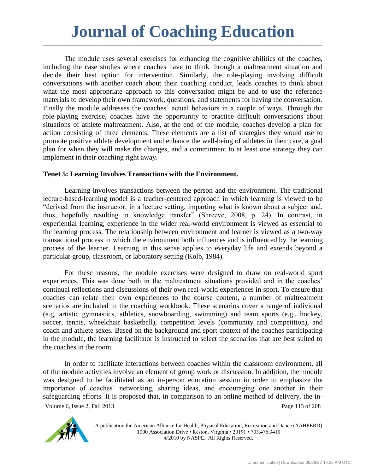The module uses several exercises for enhancing the cognitive abilities of the coaches, including the case studies where coaches have to think through a maltreatment situation and decide their best option for intervention. Similarly, the role-playing involving difficult conversations with another coach about their coaching conduct, leads coaches to think about what the most appropriate approach to this conversation might be and to use the reference materials to develop their own framework, questions, and statements for having the conversation. Finally the module addresses the coaches' actual behaviors in a couple of ways. Through the role-playing exercise, coaches have the opportunity to practice difficult conversations about situations of athlete maltreatment. Also, at the end of the module, coaches develop a plan for action consisting of three elements. These elements are a list of strategies they would use to promote positive athlete development and enhance the well-being of athletes in their care, a goal plan for when they will make the changes, and a commitment to at least one strategy they can implement in their coaching right away.

#### **Tenet 5: Learning Involves Transactions with the Environment.**

Learning involves transactions between the person and the environment. The traditional lecture-based-learning model is a teacher-centered approach in which learning is viewed to be "derived from the instructor, in a lecture setting, imparting what is known about a subject and, thus, hopefully resulting in knowledge transfer" (Shreeve, 2008, p. 24). In contrast, in experiential learning, experience in the wider real-world environment is viewed as essential to the learning process. The relationship between environment and learner is viewed as a two-way transactional process in which the environment both influences and is influenced by the learning process of the learner. Learning in this sense applies to everyday life and extends beyond a particular group, classroom, or laboratory setting (Kolb, 1984).

For these reasons, the module exercises were designed to draw on real-world sport experiences. This was done both in the maltreatment situations provided and in the coaches' continual reflections and discussions of their own real-world experiences in sport. To ensure that coaches can relate their own experiences to the course content, a number of maltreatment scenarios are included in the coaching workbook. These scenarios cover a range of individual (e.g, artistic gymnastics, athletics, snowboarding, swimming) and team sports (e.g., hockey, soccer, tennis, wheelchair basketball), competition levels (community and competition), and coach and athlete sexes. Based on the background and sport context of the coaches participating in the module, the learning facilitator is instructed to select the scenarios that are best suited to the coaches in the room.

Volume 6, Issue 2, Fall 2013 Page 113 of 208 In order to facilitate interactions between coaches within the classroom environment, all of the module activities involve an element of group work or discussion. In addition, the module was designed to be facilitated as an in-person education session in order to emphasize the importance of coaches' networking, sharing ideas, and encouraging one another in their safeguarding efforts. It is proposed that, in comparison to an online method of delivery, the in-

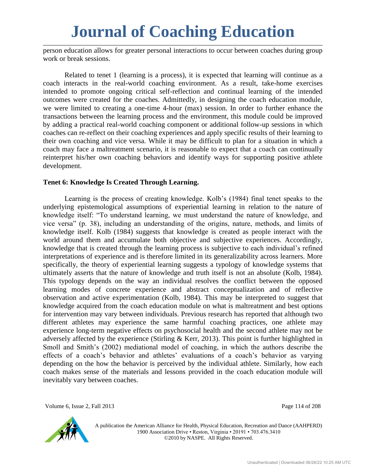**\_\_\_\_\_\_\_\_\_\_\_\_\_\_\_\_\_\_\_\_\_\_\_\_\_\_\_\_\_\_\_\_\_\_\_\_\_\_\_\_\_\_\_\_\_\_\_\_\_\_\_\_\_\_\_\_\_\_\_\_\_\_\_\_\_\_\_\_\_\_\_\_\_\_\_\_\_\_\_\_\_\_\_\_\_\_\_\_\_\_\_\_\_\_\_\_\_\_\_\_\_\_\_\_\_\_\_\_\_\_\_\_\_\_\_\_\_** person education allows for greater personal interactions to occur between coaches during group work or break sessions.

Related to tenet 1 (learning is a process), it is expected that learning will continue as a coach interacts in the real-world coaching environment. As a result, take-home exercises intended to promote ongoing critical self-reflection and continual learning of the intended outcomes were created for the coaches. Admittedly, in designing the coach education module, we were limited to creating a one-time 4-hour (max) session. In order to further enhance the transactions between the learning process and the environment, this module could be improved by adding a practical real-world coaching component or additional follow-up sessions in which coaches can re-reflect on their coaching experiences and apply specific results of their learning to their own coaching and vice versa. While it may be difficult to plan for a situation in which a coach may face a maltreatment scenario, it is reasonable to expect that a coach can continually reinterpret his/her own coaching behaviors and identify ways for supporting positive athlete development.

#### **Tenet 6: Knowledge Is Created Through Learning.**

Learning is the process of creating knowledge. Kolb's (1984) final tenet speaks to the underlying epistemological assumptions of experiential learning in relation to the nature of knowledge itself: "To understand learning, we must understand the nature of knowledge, and vice versa" (p. 38), including an understanding of the origins, nature, methods, and limits of knowledge itself. Kolb (1984) suggests that knowledge is created as people interact with the world around them and accumulate both objective and subjective experiences. Accordingly, knowledge that is created through the learning process is subjective to each individual's refined interpretations of experience and is therefore limited in its generalizability across learners. More specifically, the theory of experiential learning suggests a typology of knowledge systems that ultimately asserts that the nature of knowledge and truth itself is not an absolute (Kolb, 1984). This typology depends on the way an individual resolves the conflict between the opposed learning modes of concrete experience and abstract conceptualization and of reflective observation and active experimentation (Kolb, 1984). This may be interpreted to suggest that knowledge acquired from the coach education module on what is maltreatment and best options for intervention may vary between individuals. Previous research has reported that although two different athletes may experience the same harmful coaching practices, one athlete may experience long-term negative effects on psychosocial health and the second athlete may not be adversely affected by the experience (Stirling & Kerr, 2013). This point is further highlighted in Smoll and Smith's (2002) mediational model of coaching, in which the authors describe the effects of a coach's behavior and athletes' evaluations of a coach's behavior as varying depending on the how the behavior is perceived by the individual athlete. Similarly, how each coach makes sense of the materials and lessons provided in the coach education module will inevitably vary between coaches.

Volume 6, Issue 2, Fall 2013 Page 114 of 208

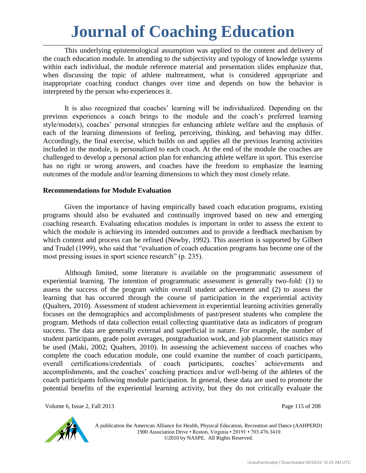**\_\_\_\_\_\_\_\_\_\_\_\_\_\_\_\_\_\_\_\_\_\_\_\_\_\_\_\_\_\_\_\_\_\_\_\_\_\_\_\_\_\_\_\_\_\_\_\_\_\_\_\_\_\_\_\_\_\_\_\_\_\_\_\_\_\_\_\_\_\_\_\_\_\_\_\_\_\_\_\_\_\_\_\_\_\_\_\_\_\_\_\_\_\_\_\_\_\_\_\_\_\_\_\_\_\_\_\_\_\_\_\_\_\_\_\_\_**

This underlying epistemological assumption was applied to the content and delivery of the coach education module. In attending to the subjectivity and typology of knowledge systems within each individual, the module reference material and presentation slides emphasize that, when discussing the topic of athlete maltreatment, what is considered appropriate and inappropriate coaching conduct changes over time and depends on how the behavior is interpreted by the person who experiences it.

It is also recognized that coaches' learning will be individualized. Depending on the previous experiences a coach brings to the module and the coach's preferred learning style/mode(s), coaches' personal strategies for enhancing athlete welfare and the emphasis of each of the learning dimensions of feeling, perceiving, thinking, and behaving may differ. Accordingly, the final exercise, which builds on and applies all the previous learning activities included in the module, is personalized to each coach. At the end of the module the coaches are challenged to develop a personal action plan for enhancing athlete welfare in sport. This exercise has no right or wrong answers, and coaches have the freedom to emphasize the learning outcomes of the module and/or learning dimensions to which they most closely relate.

#### **Recommendations for Module Evaluation**

Given the importance of having empirically based coach education programs, existing programs should also be evaluated and continually improved based on new and emerging coaching research. Evaluating education modules is important in order to assess the extent to which the module is achieving its intended outcomes and to provide a feedback mechanism by which content and process can be refined (Newby, 1992). This assertion is supported by Gilbert and Trudel (1999), who said that "evaluation of coach education programs has become one of the most pressing issues in sport science research" (p. 235).

Although limited, some literature is available on the programmatic assessment of experiential learning. The intention of programmatic assessment is generally two-fold: (1) to assess the success of the program within overall student achievement and (2) to assess the learning that has occurred through the course of participation in the experiential activity (Qualters, 2010). Assessment of student achievement in experiential learning activities generally focuses on the demographics and accomplishments of past/present students who complete the program. Methods of data collection entail collecting quantitative data as indicators of program success. The data are generally external and superficial in nature. For example, the number of student participants, grade point averages, postgraduation work, and job placement statistics may be used (Maki, 2002; Qualters, 2010). In assessing the achievement success of coaches who complete the coach education module, one could examine the number of coach participants, overall certifications/credentials of coach participants, coaches' achievements and accomplishments, and the coaches' coaching practices and/or well-being of the athletes of the coach participants following module participation. In general, these data are used to promote the potential benefits of the experiential learning activity, but they do not critically evaluate the

Volume 6, Issue 2, Fall 2013 Page 115 of 208

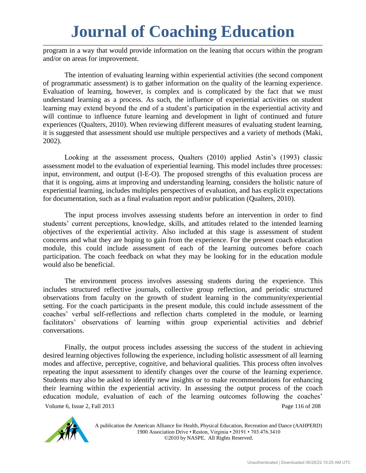program in a way that would provide information on the leaning that occurs within the program and/or on areas for improvement.

The intention of evaluating learning within experiential activities (the second component of programmatic assessment) is to gather information on the quality of the learning experience. Evaluation of learning, however, is complex and is complicated by the fact that we must understand learning as a process. As such, the influence of experiential activities on student learning may extend beyond the end of a student's participation in the experiential activity and will continue to influence future learning and development in light of continued and future experiences (Qualters, 2010). When reviewing different measures of evaluating student learning, it is suggested that assessment should use multiple perspectives and a variety of methods (Maki, 2002).

Looking at the assessment process, Qualters (2010) applied Astin's (1993) classic assessment model to the evaluation of experiential learning. This model includes three processes: input, environment, and output (I-E-O). The proposed strengths of this evaluation process are that it is ongoing, aims at improving and understanding learning, considers the holistic nature of experiential learning, includes multiples perspectives of evaluation, and has explicit expectations for documentation, such as a final evaluation report and/or publication (Qualters, 2010).

The input process involves assessing students before an intervention in order to find students' current perceptions, knowledge, skills, and attitudes related to the intended learning objectives of the experiential activity. Also included at this stage is assessment of student concerns and what they are hoping to gain from the experience. For the present coach education module, this could include assessment of each of the learning outcomes before coach participation. The coach feedback on what they may be looking for in the education module would also be beneficial.

The environment process involves assessing students during the experience. This includes structured reflective journals, collective group reflection, and periodic structured observations from faculty on the growth of student learning in the community/experiential setting. For the coach participants in the present module, this could include assessment of the coaches' verbal self-reflections and reflection charts completed in the module, or learning facilitators' observations of learning within group experiential activities and debrief conversations.

Volume 6, Issue 2, Fall 2013 Page 116 of 208 Finally, the output process includes assessing the success of the student in achieving desired learning objectives following the experience, including holistic assessment of all learning modes and affective, perceptive, cognitive, and behavioral qualities. This process often involves repeating the input assessment to identify changes over the course of the learning experience. Students may also be asked to identify new insights or to make recommendations for enhancing their learning within the experiential activity. In assessing the output process of the coach education module, evaluation of each of the learning outcomes following the coaches'

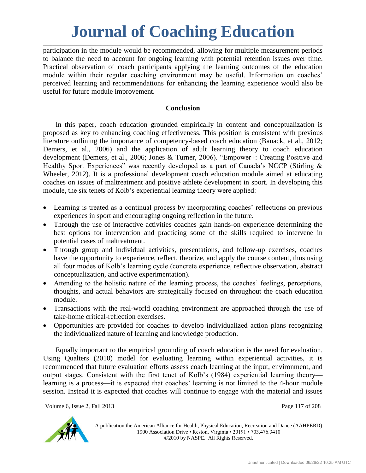**\_\_\_\_\_\_\_\_\_\_\_\_\_\_\_\_\_\_\_\_\_\_\_\_\_\_\_\_\_\_\_\_\_\_\_\_\_\_\_\_\_\_\_\_\_\_\_\_\_\_\_\_\_\_\_\_\_\_\_\_\_\_\_\_\_\_\_\_\_\_\_\_\_\_\_\_\_\_\_\_\_\_\_\_\_\_\_\_\_\_\_\_\_\_\_\_\_\_\_\_\_\_\_\_\_\_\_\_\_\_\_\_\_\_\_\_\_**

participation in the module would be recommended, allowing for multiple measurement periods to balance the need to account for ongoing learning with potential retention issues over time. Practical observation of coach participants applying the learning outcomes of the education module within their regular coaching environment may be useful. Information on coaches' perceived learning and recommendations for enhancing the learning experience would also be useful for future module improvement.

#### **Conclusion**

In this paper, coach education grounded empirically in content and conceptualization is proposed as key to enhancing coaching effectiveness. This position is consistent with previous literature outlining the importance of competency-based coach education (Banack, et al., 2012; Demers, et al., 2006) and the application of adult learning theory to coach education development (Demers, et al., 2006; Jones & Turner, 2006). "Empower+: Creating Positive and Healthy Sport Experiences" was recently developed as a part of Canada's NCCP (Stirling & Wheeler, 2012). It is a professional development coach education module aimed at educating coaches on issues of maltreatment and positive athlete development in sport. In developing this module, the six tenets of Kolb's experiential learning theory were applied:

- Learning is treated as a continual process by incorporating coaches' reflections on previous experiences in sport and encouraging ongoing reflection in the future.
- Through the use of interactive activities coaches gain hands-on experience determining the best options for intervention and practicing some of the skills required to intervene in potential cases of maltreatment.
- Through group and individual activities, presentations, and follow-up exercises, coaches have the opportunity to experience, reflect, theorize, and apply the course content, thus using all four modes of Kolb's learning cycle (concrete experience, reflective observation, abstract conceptualization, and active experimentation).
- Attending to the holistic nature of the learning process, the coaches' feelings, perceptions, thoughts, and actual behaviors are strategically focused on throughout the coach education module.
- Transactions with the real-world coaching environment are approached through the use of take-home critical-reflection exercises.
- Opportunities are provided for coaches to develop individualized action plans recognizing the individualized nature of learning and knowledge production.

Equally important to the empirical grounding of coach education is the need for evaluation. Using Qualters (2010) model for evaluating learning within experiential activities, it is recommended that future evaluation efforts assess coach learning at the input, environment, and output stages. Consistent with the first tenet of Kolb's (1984) experiential learning theory learning is a process—it is expected that coaches' learning is not limited to the 4-hour module session. Instead it is expected that coaches will continue to engage with the material and issues

Volume 6, Issue 2, Fall 2013 Page 117 of 208

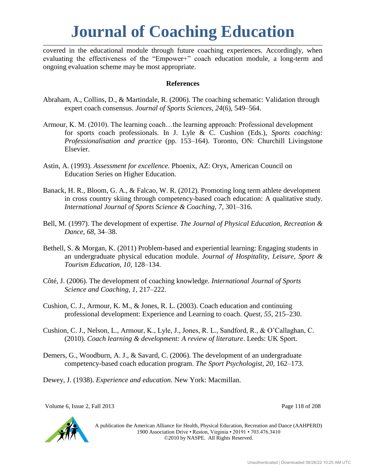**\_\_\_\_\_\_\_\_\_\_\_\_\_\_\_\_\_\_\_\_\_\_\_\_\_\_\_\_\_\_\_\_\_\_\_\_\_\_\_\_\_\_\_\_\_\_\_\_\_\_\_\_\_\_\_\_\_\_\_\_\_\_\_\_\_\_\_\_\_\_\_\_\_\_\_\_\_\_\_\_\_\_\_\_\_\_\_\_\_\_\_\_\_\_\_\_\_\_\_\_\_\_\_\_\_\_\_\_\_\_\_\_\_\_\_\_\_**

covered in the educational module through future coaching experiences. Accordingly, when evaluating the effectiveness of the "Empower+" coach education module, a long-term and ongoing evaluation scheme may be most appropriate.

#### **References**

- Abraham, A., Collins, D., & Martindale, R. (2006). The coaching schematic: Validation through expert coach consensus. *Journal of Sports Sciences, 24*(6), 549–564.
- Armour, K. M. (2010). The learning coach…the learning approach: Professional development for sports coach professionals. In J. Lyle & C. Cushion (Eds.), *Sports coaching: Professionalisation and practice* (pp. 153–164). Toronto, ON: Churchill Livingstone Elsevier.
- Astin, A. (1993). *Assessment for excellence.* Phoenix, AZ: Oryx, American Council on Education Series on Higher Education.
- Banack, H. R., Bloom, G. A., & Falcao, W. R. (2012). Promoting long term athlete development in cross country skiing through competency-based coach education: A qualitative study. *International Journal of Sports Science & Coaching, 7,* 301–316.
- Bell, M. (1997). The development of expertise. *The Journal of Physical Education, Recreation & Dance, 68*, 34–38.
- Bethell, S. & Morgan, K. (2011) Problem-based and experiential learning: Engaging students in an undergraduate physical education module. *Journal of Hospitality, Leisure, Sport & Tourism Education, 10,* 128–134.
- Côté, J. (2006). The development of coaching knowledge. *International Journal of Sports Science and Coaching, 1,* 217–222.
- Cushion, C. J., Armour, K. M., & Jones, R. L. (2003). Coach education and continuing professional development: Experience and Learning to coach. *Quest, 55,* 215–230.
- Cushion, C. J., Nelson, L., Armour, K., Lyle, J., Jones, R. L., Sandford, R., & O'Callaghan, C. (2010). *Coach learning & development: A review of literature*. Leeds: UK Sport.
- Demers, G., Woodburn, A. J., & Savard, C. (2006). The development of an undergraduate competency-based coach education program. *The Sport Psychologist, 20,* 162–173.

Dewey, J. (1938). *Experience and education.* New York: Macmillan.

Volume 6, Issue 2, Fall 2013 Page 118 of 208

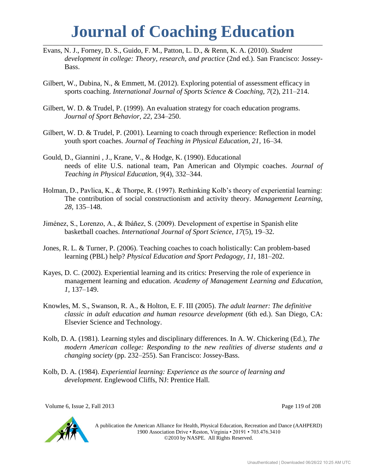**\_\_\_\_\_\_\_\_\_\_\_\_\_\_\_\_\_\_\_\_\_\_\_\_\_\_\_\_\_\_\_\_\_\_\_\_\_\_\_\_\_\_\_\_\_\_\_\_\_\_\_\_\_\_\_\_\_\_\_\_\_\_\_\_\_\_\_\_\_\_\_\_\_\_\_\_\_\_\_\_\_\_\_\_\_\_\_\_\_\_\_\_\_\_\_\_\_\_\_\_\_\_\_\_\_\_\_\_\_\_\_\_\_\_\_\_\_**

- Evans, N. J., Forney, D. S., Guido, F. M., Patton, L. D., & Renn, K. A. (2010). *Student development in college: Theory, research, and practice* (2nd ed.). San Francisco: Jossey-Bass.
- Gilbert, W., Dubina, N., & Emmett, M. (2012). Exploring potential of assessment efficacy in sports coaching. *International Journal of Sports Science & Coaching, 7*(2), 211–214.
- Gilbert, W. D. & Trudel, P. (1999). An evaluation strategy for coach education programs. *Journal of Sport Behavior, 22,* 234–250.
- Gilbert, W. D. & Trudel, P. (2001). Learning to coach through experience: Reflection in model youth sport coaches. *Journal of Teaching in Physical Education, 21,* 16–34.
- Gould, D., Giannini , J., Krane, V., & Hodge, K. (1990). Educational needs of elite U.S. national team, Pan American and Olympic coaches. *Journal of Teaching in Physical Education, 9*(4), 332–344.
- Holman, D., Pavlica, K., & Thorpe, R. (1997). Rethinking Kolb's theory of experiential learning: The contribution of social constructionism and activity theory. *Management Learning, 28,* 135–148.
- Jiménez, S., Lorenzo, A., & Ibáñez, S. (2009). Development of expertise in Spanish elite basketball coaches. *International Journal of Sport Science, 17*(5), 19–32.
- Jones, R. L. & Turner, P. (2006). Teaching coaches to coach holistically: Can problem-based learning (PBL) help? *Physical Education and Sport Pedagogy, 11,* 181–202.
- Kayes, D. C. (2002). Experiential learning and its critics: Preserving the role of experience in management learning and education. *Academy of Management Learning and Education, 1,* 137–149.
- Knowles, M. S., Swanson, R. A., & Holton, E. F. III (2005). *The adult learner: The definitive classic in adult education and human resource development* (6th ed.). San Diego, CA: Elsevier Science and Technology.
- Kolb, D. A. (1981). Learning styles and disciplinary differences. In A. W. Chickering (Ed.), *The modern American college: Responding to the new realities of diverse students and a changing society* (pp. 232–255). San Francisco: Jossey-Bass.
- Kolb, D. A. (1984). *Experiential learning: Experience as the source of learning and development.* Englewood Cliffs, NJ: Prentice Hall*.*

Volume 6, Issue 2, Fall 2013 Page 119 of 208



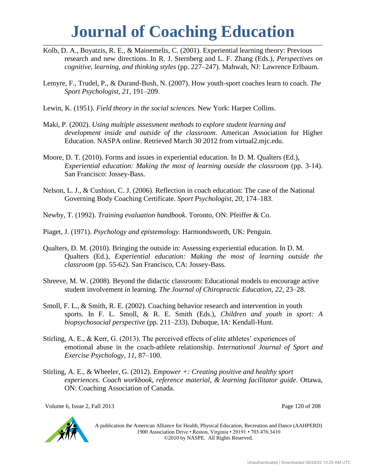**\_\_\_\_\_\_\_\_\_\_\_\_\_\_\_\_\_\_\_\_\_\_\_\_\_\_\_\_\_\_\_\_\_\_\_\_\_\_\_\_\_\_\_\_\_\_\_\_\_\_\_\_\_\_\_\_\_\_\_\_\_\_\_\_\_\_\_\_\_\_\_\_\_\_\_\_\_\_\_\_\_\_\_\_\_\_\_\_\_\_\_\_\_\_\_\_\_\_\_\_\_\_\_\_\_\_\_\_\_\_\_\_\_\_\_\_\_**

- Kolb, D. A., Boyatzis, R. E., & Mainemelis, C. (2001). Experiential learning theory: Previous research and new directions. In R. J. Sternberg and L. F. Zhang (Eds.), *Perspectives on cognitive, learning, and thinking styles* (pp. 227–247)*.* Mahwah, NJ: Lawrence Erlbaum.
- Lemyre, F., Trudel, P., & Durand-Bush, N. (2007). How youth-sport coaches learn to coach. *The Sport Psychologist, 21*, 191–209.
- Lewin, K. (1951). *Field theory in the social sciences.* New York: Harper Collins.
- Maki, P. (2002). *Using multiple assessment methods to explore student learning and development inside and outside of the classroom*. American Association for Higher Education. NASPA online. Retrieved March 30 2012 from virtual2.mjc.edu.
- Moore, D. T. (2010). Forms and issues in experiential education. In D. M. Qualters (Ed.), *Experiential education: Making the most of learning outside the classroom* (pp. 3-14). San Francisco: Jossey-Bass.
- Nelson, L. J., & Cushion, C. J. (2006). Reflection in coach education: The case of the National Governing Body Coaching Certificate. *Sport Psychologist, 20,* 174–183.
- Newby, T. (1992). *Training evaluation handbook*. Toronto, ON: Pfeiffer & Co.
- Piaget, J. (1971). *Psychology and epistemology.* Harmondsworth, UK: Penguin.
- Qualters, D. M. (2010). Bringing the outside in: Assessing experiential education. In D. M. Qualters (Ed.), *Experiential education: Making the most of learning outside the classroom* (pp. 55-62). San Francisco, CA: Jossey-Bass.
- Shreeve, M. W. (2008). Beyond the didactic classroom: Educational models to encourage active student involvement in learning. *The Journal of Chiropractic Education, 22,* 23–28.
- Smoll, F. L., & Smith, R. E. (2002). Coaching behavior research and intervention in youth sports. In F. L. Smoll, & R. E. Smith (Eds.), *Children and youth in sport: A biopsychosocial perspective* (pp. 211–233). Dubuque, IA: Kendall-Hunt.
- Stirling, A. E., & Kerr, G. (2013). The perceived effects of elite athletes' experiences of emotional abuse in the coach-athlete relationship. *International Journal of Sport and Exercise Psychology, 11,* 87–100.
- Stirling, A. E., & Wheeler, G. (2012). *Empower +: Creating positive and healthy sport experiences. Coach workbook, reference material, & learning facilitator guide*. Ottawa, ON: Coaching Association of Canada.

Volume 6, Issue 2, Fall 2013 Page 120 of 208